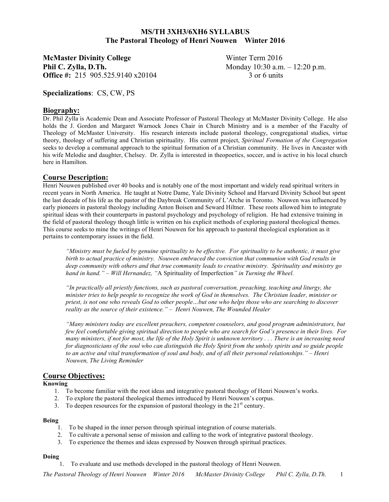# **MS/TH 3XH3/6XH6 SYLLABUS The Pastoral Theology of Henri Nouwen Winter 2016**

**McMaster Divinity College** Winter Term 2016 **Phil C. Zylla, D.Th.** Monday 10:30 a.m. – 12:20 p.m. **Office #:** 215 905 525 9140 x20104 3 or 6 units

**Specializations**: CS, CW, PS

# **Biography:**

Dr. Phil Zylla is Academic Dean and Associate Professor of Pastoral Theology at McMaster Divinity College. He also holds the J. Gordon and Margaret Warnock Jones Chair in Church Ministry and is a member of the Faculty of Theology of McMaster University. His research interests include pastoral theology, congregational studies, virtue theory, theology of suffering and Christian spirituality. His current project, *Spiritual Formation of the Congregation* seeks to develop a communal approach to the spiritual formation of a Christian community. He lives in Ancaster with his wife Melodie and daughter, Chelsey. Dr. Zylla is interested in theopoetics, soccer, and is active in his local church here in Hamilton.

# **Course Description:**

Henri Nouwen published over 40 books and is notably one of the most important and widely read spiritual writers in recent years in North America. He taught at Notre Dame, Yale Divinity School and Harvard Divinity School but spent the last decade of his life as the pastor of the Daybreak Community of L'Arche in Toronto. Nouwen was influenced by early pioneers in pastoral theology including Anton Boisen and Seward Hiltner. These roots allowed him to integrate spiritual ideas with their counterparts in pastoral psychology and psychology of religion. He had extensive training in the field of pastoral theology though little is written on his explicit methods of exploring pastoral theological themes. This course seeks to mine the writings of Henri Nouwen for his approach to pastoral theological exploration as it pertains to contemporary issues in the field.

*"Ministry must be fueled by genuine spirituality to be effective. For spirituality to be authentic, it must give birth to actual practice of ministry. Nouwen embraced the conviction that communion with God results in deep community with others and that true community leads to creative ministry. Spirituality and ministry go hand in hand." – Will Hernandez, "*A Spirituality of Imperfection*" in Turning the Wheel.*

*"In practically all priestly functions, such as pastoral conversation, preaching, teaching and liturgy, the minister tries to help people to recognize the work of God in themselves. The Christian leader, minister or priest, is not one who reveals God to other people…but one who helps those who are searching to discover reality as the source of their existence." – Henri Nouwen, The Wounded Healer*

*"Many ministers today are excellent preachers, competent counselors, and good program administrators, but few feel comfortable giving spiritual direction to people who are search for God's presence in their lives. For many ministers, if not for most, the life of the Holy Spirit is unknown territory . . . There is an increasing need for diagnosticians of the soul who can distinguish the Holy Spirit from the unholy spirits and so guide people to an active and vital transformation of soul and body, and of all their personal relationships." – Henri Nouwen, The Living Reminder*

# **Course Objectives:**

**Knowing**

- 1. To become familiar with the root ideas and integrative pastoral theology of Henri Nouwen's works.
- 2. To explore the pastoral theological themes introduced by Henri Nouwen's corpus.
- 3. To deepen resources for the expansion of pastoral theology in the  $21<sup>st</sup>$  century.

#### **Being**

- 1. To be shaped in the inner person through spiritual integration of course materials.
- 2. To cultivate a personal sense of mission and calling to the work of integrative pastoral theology.
- 3. To experience the themes and ideas expressed by Nouwen through spiritual practices.

#### **Doing**

1. To evaluate and use methods developed in the pastoral theology of Henri Nouwen.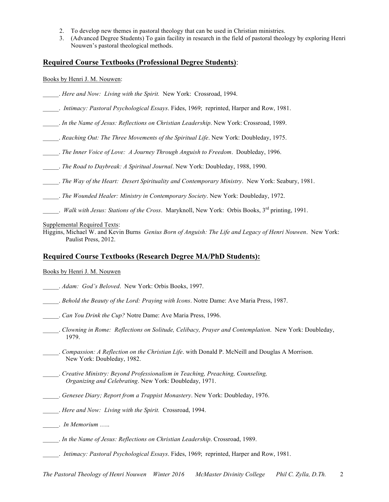- 2. To develop new themes in pastoral theology that can be used in Christian ministries.
- 3. (Advanced Degree Students) To gain facility in research in the field of pastoral theology by exploring Henri Nouwen's pastoral theological methods.

# **Required Course Textbooks (Professional Degree Students)**:

Books by Henri J. M. Nouwen:

- \_\_\_\_\_. *Here and Now: Living with the Spirit.* New York: Crossroad, 1994.
- \_\_\_\_\_. *Intimacy: Pastoral Psychological Essays*. Fides, 1969; reprinted, Harper and Row, 1981.
- \_\_\_\_\_. *In the Name of Jesus: Reflections on Christian Leadership*. New York: Crossroad, 1989.
- \_\_\_\_\_. *Reaching Out: The Three Movements of the Spiritual Life*. New York: Doubleday, 1975.
- \_\_\_\_\_. *The Inner Voice of Love: A Journey Through Anguish to Freedom*. Doubleday, 1996.
- \_\_\_\_\_. *The Road to Daybreak: A Spiritual Journal*. New York: Doubleday, 1988, 1990.
- \_\_\_\_\_. *The Way of the Heart: Desert Spirituality and Contemporary Ministry*. New York: Seabury, 1981.
- \_\_\_\_\_. *The Wounded Healer: Ministry in Contemporary Society*. New York: Doubleday, 1972.
- \_\_\_\_\_. *Walk with Jesus: Stations of the Cross*. Maryknoll, New York: Orbis Books, 3rd printing, 1991.
- Supplemental Required Texts:
- Higgins, Michael W. and Kevin Burns *Genius Born of Anguish: The Life and Legacy of Henri Nouwen*. New York: Paulist Press, 2012.

# **Required Course Textbooks (Research Degree MA/PhD Students):**

Books by Henri J. M. Nouwen

- \_\_\_\_\_. *Adam: God's Beloved*. New York: Orbis Books, 1997.
- \_\_\_\_\_. *Behold the Beauty of the Lord: Praying with Icons*. Notre Dame: Ave Maria Press, 1987.
- \_\_\_\_\_. *Can You Drink the Cup?* Notre Dame: Ave Maria Press, 1996.
- \_\_\_\_\_. *Clowning in Rome: Reflections on Solitude, Celibacy, Prayer and Contemplation*. New York: Doubleday, 1979.
- \_\_\_\_\_. *Compassion: A Reflection on the Christian Life*. with Donald P. McNeill and Douglas A Morrison. New York: Doubleday, 1982.
	- \_\_\_\_\_. *Creative Ministry: Beyond Professionalism in Teaching, Preaching, Counseling, Organizing and Celebrating*. New York: Doubleday, 1971.
- \_\_\_\_\_. *Genesee Diary; Report from a Trappist Monastery*. New York: Doubleday, 1976.
- \_\_\_\_\_. *Here and Now: Living with the Spirit.* Crossroad, 1994.
- \_\_\_\_\_. *In Memorium* …..
- \_\_\_\_\_. *In the Name of Jesus: Reflections on Christian Leadership*. Crossroad, 1989.
- \_\_\_\_\_. *Intimacy: Pastoral Psychological Essays*. Fides, 1969; reprinted, Harper and Row, 1981.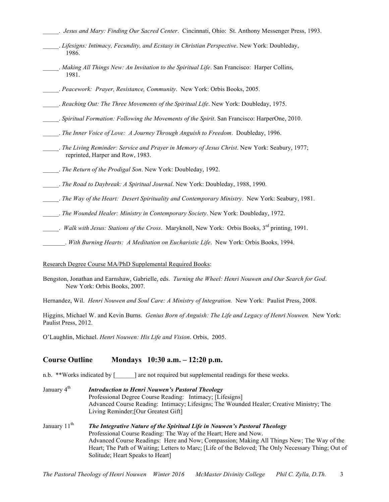- \_\_\_\_\_. *Jesus and Mary: Finding Our Sacred Center*. Cincinnati, Ohio: St. Anthony Messenger Press, 1993. \_\_\_\_\_. *Lifesigns: Intimacy, Fecundity, and Ecstasy in Christian Perspective*. New York: Doubleday, 1986. \_\_\_\_\_. *Making All Things New: An Invitation to the Spiritual Life*. San Francisco: Harper Collins, 1981. \_\_\_\_\_. *Peacework: Prayer, Resistance, Community*. New York: Orbis Books, 2005.
- \_\_\_\_\_. *Reaching Out: The Three Movements of the Spiritual Life*. New York: Doubleday, 1975.
- \_\_\_\_\_. *Spiritual Formation: Following the Movements of the Spirit*. San Francisco: HarperOne, 2010.
- \_\_\_\_\_. *The Inner Voice of Love: A Journey Through Anguish to Freedom*. Doubleday, 1996.
- \_\_\_\_\_. *The Living Reminder: Service and Prayer in Memory of Jesus Christ*. New York: Seabury, 1977; reprinted, Harper and Row, 1983.
- \_\_\_\_\_. *The Return of the Prodigal Son*. New York: Doubleday, 1992.
- \_\_\_\_\_. *The Road to Daybreak: A Spiritual Journal*. New York: Doubleday, 1988, 1990.
- \_\_\_\_\_. *The Way of the Heart: Desert Spirituality and Contemporary Ministry*. New York: Seabury, 1981.
- \_\_\_\_\_. *The Wounded Healer: Ministry in Contemporary Society*. New York: Doubleday, 1972.
- \_\_\_\_\_. *Walk with Jesus: Stations of the Cross*. Maryknoll, New York: Orbis Books, 3rd printing, 1991.
- \_\_\_\_\_\_\_. *With Burning Hearts: A Meditation on Eucharistic Life*. New York: Orbis Books, 1994.

#### Research Degree Course MA/PhD Supplemental Required Books:

Bengston, Jonathan and Earnshaw, Gabrielle, eds. *Turning the Wheel: Henri Nouwen and Our Search for God*. New York: Orbis Books, 2007.

Hernandez, Wil. *Henri Nouwen and Soul Care: A Ministry of Integration.* New York: Paulist Press, 2008.

Higgins, Michael W. and Kevin Burns. *Genius Born of Anguish: The Life and Legacy of Henri Nouwen.* New York: Paulist Press, 2012.

O'Laughlin, Michael. *Henri Nouwen: His Life and Vision*. Orbis, 2005.

### **Course Outline Mondays 10:30 a.m. – 12:20 p.m.**

Solitude; Heart Speaks to Heart]

- n.b. \*\*Works indicated by [\_\_\_\_\_\_] are not required but supplemental readings for these weeks.
- January 4<sup>th</sup> *Introduction to Henri Nouwen's Pastoral Theology* Professional Degree Course Reading: Intimacy; [Lifesigns] Advanced Course Reading: Intimacy; Lifesigns; The Wounded Healer; Creative Ministry; The Living Reminder;[Our Greatest Gift] January 11<sup>th</sup> *The Integrative Nature of the Spiritual Life in Nouwen's Pastoral Theology* Professional Course Reading: The Way of the Heart; Here and Now. Advanced Course Readings: Here and Now; Compassion; Making All Things New; The Way of the Heart; The Path of Waiting; Letters to Marc; [Life of the Beloved; The Only Necessary Thing; Out of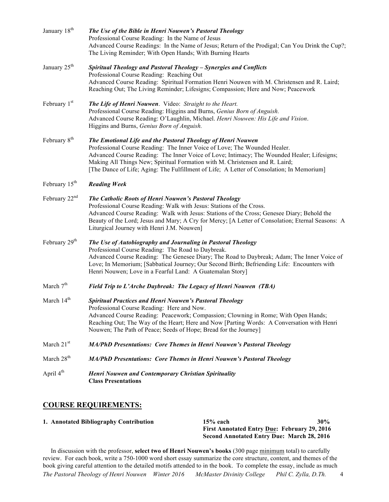| January 18 <sup>th</sup>  | The Use of the Bible in Henri Nouwen's Pastoral Theology<br>Professional Course Reading: In the Name of Jesus<br>Advanced Course Readings: In the Name of Jesus; Return of the Prodigal; Can You Drink the Cup?;<br>The Living Reminder; With Open Hands; With Burning Hearts                                                                                                                                        |  |
|---------------------------|----------------------------------------------------------------------------------------------------------------------------------------------------------------------------------------------------------------------------------------------------------------------------------------------------------------------------------------------------------------------------------------------------------------------|--|
| January 25 <sup>th</sup>  | Spiritual Theology and Pastoral Theology - Synergies and Conflicts<br>Professional Course Reading: Reaching Out<br>Advanced Course Reading: Spiritual Formation Henri Nouwen with M. Christensen and R. Laird;<br>Reaching Out; The Living Reminder; Lifesigns; Compassion; Here and Now; Peacework                                                                                                                  |  |
| February 1 <sup>st</sup>  | The Life of Henri Nouwen. Video: Straight to the Heart.<br>Professional Course Reading: Higgins and Burns, Genius Born of Anguish.<br>Advanced Course Reading: O'Laughlin, Michael. Henri Nouwen: His Life and Vision.<br>Higgins and Burns, Genius Born of Anguish.                                                                                                                                                 |  |
| February 8 <sup>th</sup>  | The Emotional Life and the Pastoral Theology of Henri Nouwen<br>Professional Course Reading: The Inner Voice of Love; The Wounded Healer.<br>Advanced Course Reading: The Inner Voice of Love; Intimacy; The Wounded Healer; Lifesigns;<br>Making All Things New; Spiritual Formation with M. Christensen and R. Laird;<br>[The Dance of Life; Aging: The Fulfillment of Life; A Letter of Consolation; In Memorium] |  |
| February 15 <sup>th</sup> | <b>Reading Week</b>                                                                                                                                                                                                                                                                                                                                                                                                  |  |
| February $22nd$           | The Catholic Roots of Henri Nouwen's Pastoral Theology<br>Professional Course Reading: Walk with Jesus: Stations of the Cross.<br>Advanced Course Reading: Walk with Jesus: Stations of the Cross; Genesee Diary; Behold the<br>Beauty of the Lord; Jesus and Mary; A Cry for Mercy; [A Letter of Consolation; Eternal Seasons: A<br>Liturgical Journey with Henri J.M. Nouwen]                                      |  |
| February 29 <sup>th</sup> | The Use of Autobiography and Journaling in Pastoral Theology<br>Professional Course Reading: The Road to Daybreak.<br>Advanced Course Reading: The Genesee Diary; The Road to Daybreak; Adam; The Inner Voice of<br>Love; In Memorium; [Sabbatical Journey; Our Second Birth; Befriending Life: Encounters with<br>Henri Nouwen; Love in a Fearful Land: A Guatemalan Story]                                         |  |
| March 7 <sup>th</sup>     | Field Trip to L'Arche Daybreak: The Legacy of Henri Nouwen (TBA)                                                                                                                                                                                                                                                                                                                                                     |  |
| March 14 <sup>th</sup>    | <b>Spiritual Practices and Henri Nouwen's Pastoral Theology</b><br>Professional Course Reading: Here and Now.<br>Advanced Course Reading: Peacework; Compassion; Clowning in Rome; With Open Hands;<br>Reaching Out; The Way of the Heart; Here and Now [Parting Words: A Conversation with Henri<br>Nouwen; The Path of Peace; Seeds of Hope; Bread for the Journey]                                                |  |
| March 21 <sup>st</sup>    | MA/PhD Presentations: Core Themes in Henri Nouwen's Pastoral Theology                                                                                                                                                                                                                                                                                                                                                |  |
| March 28 <sup>th</sup>    | MA/PhD Presentations: Core Themes in Henri Nouwen's Pastoral Theology                                                                                                                                                                                                                                                                                                                                                |  |
| April $4th$               | <b>Henri Nouwen and Contemporary Christian Spirituality</b><br><b>Class Presentations</b>                                                                                                                                                                                                                                                                                                                            |  |

# **COURSE REQUIREMENTS:**

| 1. Annotated Bibliography Contribution | $15%$ each                                          | 30% |
|----------------------------------------|-----------------------------------------------------|-----|
|                                        | <b>First Annotated Entry Due: February 29, 2016</b> |     |
|                                        | <b>Second Annotated Entry Due: March 28, 2016</b>   |     |

*The Pastoral Theology of Henri Nouwen Winter 2016 McMaster Divinity College Phil C. Zylla, D.Th.* 4 In discussion with the professor, **select two of Henri Nouwen's books** (300 page minimum total) to carefully review. For each book, write a 750-1000 word short essay summarize the core structure, content, and themes of the book giving careful attention to the detailed motifs attended to in the book. To complete the essay, include as much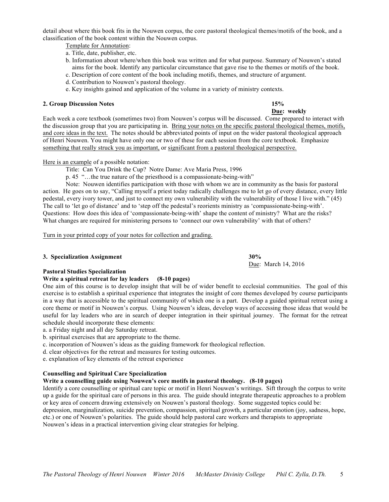*The Pastoral Theology of Henri Nouwen Winter 2016 McMaster Divinity College Phil C. Zylla, D.Th.* 5

detail about where this book fits in the Nouwen corpus, the core pastoral theological themes/motifs of the book, and a classification of the book content within the Nouwen corpus.

Template for Annotation:

- a. Title, date, publisher, etc.
- b. Information about where/when this book was written and for what purpose. Summary of Nouwen's stated aims for the book. Identify any particular circumstance that gave rise to the themes or motifs of the book.
- c. Description of core content of the book including motifs, themes, and structure of argument.
- d. Contribution to Nouwen's pastoral theology.
- e. Key insights gained and application of the volume in a variety of ministry contexts.

#### **2. Group Discussion Notes 15%**

Each week a core textbook (sometimes two) from Nouwen's corpus will be discussed. Come prepared to interact with the discussion group that you are participating in. Bring your notes on the specific pastoral theological themes, motifs, and core ideas in the text. The notes should be abbreviated points of input on the wider pastoral theological approach of Henri Nouwen. You might have only one or two of these for each session from the core textbook. Emphasize something that really struck you as important, or significant from a pastoral theological perspective.

#### Here is an example of a possible notation:

Title: Can You Drink the Cup? Notre Dame: Ave Maria Press, 1996

p. 45 "…the true nature of the priesthood is a compassionate-being-with"

Note: Nouwen identifies participation with those with whom we are in community as the basis for pastoral action. He goes on to say, "Calling myself a priest today radically challenges me to let go of every distance, every little pedestal, every ivory tower, and just to connect my own vulnerability with the vulnerability of those I live with." (45) The call to 'let go of distance' and to 'step off the pedestal's reorients ministry as 'compassionate-being-with'. Questions: How does this idea of 'compassionate-being-with' shape the content of ministry? What are the risks? What changes are required for ministering persons to 'connect our own vulnerability' with that of others?

Turn in your printed copy of your notes for collection and grading.

#### **3. Specialization Assignment 30%**

# **Pastoral Studies Specialization**

# **Write a spiritual retreat for lay leaders (8-10 pages)**

One aim of this course is to develop insight that will be of wider benefit to ecclesial communities. The goal of this exercise is to establish a spiritual experience that integrates the insight of core themes developed by course participants in a way that is accessible to the spiritual community of which one is a part. Develop a guided spiritual retreat using a core theme or motif in Nouwen's corpus. Using Nouwen's ideas, develop ways of accessing those ideas that would be useful for lay leaders who are in search of deeper integration in their spiritual journey. The format for the retreat schedule should incorporate these elements:

a. a Friday night and all day Saturday retreat.

b. spiritual exercises that are appropriate to the theme.

- c. incorporation of Nouwen's ideas as the guiding framework for theological reflection.
- d. clear objectives for the retreat and measures for testing outcomes.

e. explanation of key elements of the retreat experience

# **Counselling and Spiritual Care Specialization**

### **Write a counselling guide using Nouwen's core motifs in pastoral theology. (8-10 pages)**

Identify a core counselling or spiritual care topic or motif in Henri Nouwen's writings. Sift through the corpus to write up a guide for the spiritual care of persons in this area. The guide should integrate therapeutic approaches to a problem or key area of concern drawing extensively on Nouwen's pastoral theology. Some suggested topics could be: depression, marginalization, suicide prevention, compassion, spiritual growth, a particular emotion (joy, sadness, hope, etc.) or one of Nouwen's polarities. The guide should help pastoral care workers and therapists to appropriate

Nouwen's ideas in a practical intervention giving clear strategies for helping.

Due: March 14, 2016

# **Due: weekly**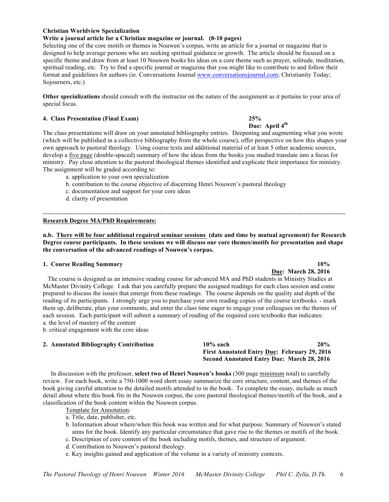#### **Christian Worldview Specialization**

#### **Write a journal article for a Christian magazine or journal. (8-10 pages)**

Selecting one of the core motifs or themes in Nouwen's corpus, write an article for a journal or magazine that is designed to help average persons who are seeking spiritual guidance or growth. The article should be focused on a specific theme and draw from at least 10 Nouwen books his ideas on a core theme such as prayer, solitude, meditation, spiritual reading, etc. Try to find a specific journal or magazine that you might like to contribute to and follow their format and guidelines for authors (ie. Conversations Journal www.conversationsjournal.com; Christianity Today; Sojourners, etc.)

**Other specializations** should consult with the instructor on the nature of the assignment as it pertains to your area of special focus.

#### **4. Class Presentation (Final Exam) 25%**

**Due: April 4th** The class presentations will draw on your annotated bibliography entries. Deepening and augmenting what you wrote (which will be published in a collective bibliography from the whole course), offer perspective on how this shapes your own approach to pastoral theology. Using course texts and additional material of at least 5 other academic sources, develop a five page (double-spaced) summary of how the ideas from the books you studied translate into a focus for ministry. Pay close attention to the pastoral theological themes identified and explicate their importance for ministry. The assignment will be graded according to:

- a. application to your own specialization
- b. contribution to the course objective of discerning Henri Nouwen's pastoral theology
- c. documentation and support for your core ideas
- d. clarity of presentation

#### **Research Degree MA/PhD Requirements:**

**n.b. There will be four additional required seminar sessions (date and time by mutual agreement) for Research Degree course participants. In these sessions we will discuss our core themes/motifs for presentation and shape the conversation of the advanced readings of Nouwen's corpus.**

-----------------------------------------------------------------------------------------------------------------------------------------------

#### **1. Course Reading Summary 10%**

# **Due: March 28, 2016**

 The course is designed as an intensive reading course for advanced MA and PhD students in Ministry Studies at McMaster Divinity College. I ask that you carefully prepare the assigned readings for each class session and come prepared to discuss the issues that emerge from these readings. The course depends on the quality and depth of the reading of its participants. I strongly urge you to purchase your own reading copies of the course textbooks - mark them up, deliberate, plan your comments, and enter the class time eager to engage your colleagues on the themes of each session. Each participant will submit a summary of reading of the required core textbooks that indicates: a. the level of mastery of the content

b. critical engagement with the core ideas

#### **2. Annotated Bibliography Contribution 10% each 20%**

**First Annotated Entry Due: February 29, 2016 Second Annotated Entry Due: March 28, 2016**

In discussion with the professor, **select two of Henri Nouwen's books** (300 page minimum total) to carefully review. For each book, write a 750-1000 word short essay summarize the core structure, content, and themes of the book giving careful attention to the detailed motifs attended to in the book. To complete the essay, include as much detail about where this book fits in the Nouwen corpus, the core pastoral theological themes/motifs of the book, and a classification of the book content within the Nouwen corpus.

Template for Annotation:

- a. Title, date, publisher, etc.
- b. Information about where/when this book was written and for what purpose. Summary of Nouwen's stated aims for the book. Identify any particular circumstance that gave rise to the themes or motifs of the book.
- c. Description of core content of the book including motifs, themes, and structure of argument.
- d. Contribution to Nouwen's pastoral theology.
- e. Key insights gained and application of the volume in a variety of ministry contexts.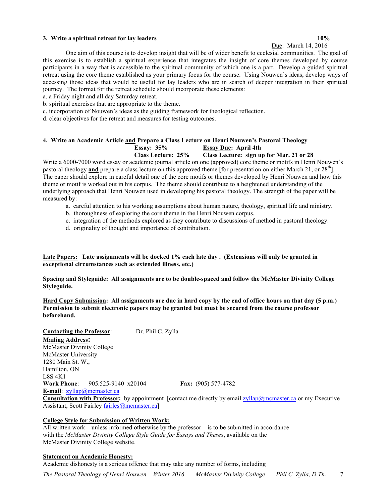#### **3. Write a spiritual retreat for lay leaders 10%**

# Due: March 14, 2016

One aim of this course is to develop insight that will be of wider benefit to ecclesial communities. The goal of this exercise is to establish a spiritual experience that integrates the insight of core themes developed by course participants in a way that is accessible to the spiritual community of which one is a part. Develop a guided spiritual retreat using the core theme established as your primary focus for the course. Using Nouwen's ideas, develop ways of accessing those ideas that would be useful for lay leaders who are in search of deeper integration in their spiritual journey. The format for the retreat schedule should incorporate these elements:

a. a Friday night and all day Saturday retreat.

b. spiritual exercises that are appropriate to the theme.

c. incorporation of Nouwen's ideas as the guiding framework for theological reflection.

d. clear objectives for the retreat and measures for testing outcomes.

#### **4. Write an Academic Article and Prepare a Class Lecture on Henri Nouwen's Pastoral Theology Essay: 35% Essay Due: April 4th Class Lecture: 25% Class Lecture: sign up for Mar. 21 or 28**

Write a 6000-7000 word essay or academic journal article on one (approved) core theme or motifs in Henri Nouwen's pastoral theology **and** prepare a class lecture on this approved theme [for presentation on either March 21, or 28<sup>th</sup>]. The paper should explore in careful detail one of the core motifs or themes developed by Henri Nouwen and how this theme or motif is worked out in his corpus. The theme should contribute to a heightened understanding of the underlying approach that Henri Nouwen used in developing his pastoral theology. The strength of the paper will be measured by:

- a. careful attention to his working assumptions about human nature, theology, spiritual life and ministry.
- b. thoroughness of exploring the core theme in the Henri Nouwen corpus.
- c. integration of the methods explored as they contribute to discussions of method in pastoral theology.
- d. originality of thought and importance of contribution.

**Late Papers: Late assignments will be docked 1% each late day . (Extensions will only be granted in exceptional circumstances such as extended illness, etc.)**

**Spacing and Styleguide: All assignments are to be double-spaced and follow the McMaster Divinity College Styleguide.**

**Hard Copy Submission: All assignments are due in hard copy by the end of office hours on that day (5 p.m.) Permission to submit electronic papers may be granted but must be secured from the course professor beforehand.**

**Contacting the Professor**: Dr. Phil C. Zylla **Mailing Address:** McMaster Divinity College

McMaster University 1280 Main St. W., Hamilton, ON L8S 4K1 **Work Phone**: 905.525-9140 x20104 **Fax:** (905) 577-4782 **E-mail**: zyllap@mcmaster.ca

**Consultation with Professor:** by appointment [contact me directly by email zyllap@mcmaster.ca or my Executive Assistant, Scott Fairley fairles@mcmaster.ca]

#### **College Style for Submission of Written Work:**

All written work—unless informed otherwise by the professor—is to be submitted in accordance with the *McMaster Divinity College Style Guide for Essays and Theses*, available on the McMaster Divinity College website.

#### **Statement on Academic Honesty:**

Academic dishonesty is a serious offence that may take any number of forms, including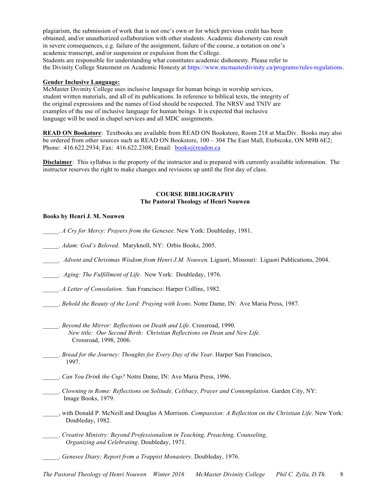plagiarism, the submission of work that is not one's own or for which previous credit has been obtained, and/or unauthorized collaboration with other students. Academic dishonesty can result in severe consequences, e.g. failure of the assignment, failure of the course, a notation on one's academic transcript, and/or suspension or expulsion from the College. Students are responsible for understanding what constitutes academic dishonesty. Please refer to the Divinity College Statement on Academic Honesty at https://www.mcmasterdivinity.ca/programs/rules-regulations.

#### **Gender Inclusive Language:**

McMaster Divinity College uses inclusive language for human beings in worship services, student written materials, and all of its publications. In reference to biblical texts, the integrity of the original expressions and the names of God should be respected. The NRSV and TNIV are examples of the use of inclusive language for human beings. It is expected that inclusive language will be used in chapel services and all MDC assignments.

**READ ON Bookstore**: Textbooks are available from READ ON Bookstore, Room 218 at MacDiv. Books may also be ordered from other sources such as READ ON Bookstore, 100 – 304 The East Mall, Etobicoke, ON M9B 6E2; Phone: 416.622.2934; Fax: 416.622.2308; Email: books@readon.ca

**Disclaimer**: This syllabus is the property of the instructor and is prepared with currently available information. The instructor reserves the right to make changes and revisions up until the first day of class.

#### **COURSE BIBLIOGRAPHY The Pastoral Theology of Henri Nouwen**

#### **Books by Henri J. M. Nouwen**

\_\_\_\_\_. *A Cry for Mercy: Prayers from the Genesee*. New York: Doubleday, 1981.

- \_\_\_\_\_. *Adam: God's Beloved*. Maryknoll, NY: Orbis Books, 2005.
- *\_\_\_\_\_. Advent and Christmas Wisdom from Henri J.M. Nouwen.* Liguori, Missouri: Liguori Publications, 2004.
- *\_\_\_\_\_. Aging: The Fulfillment of Life.* New York: Doubleday, 1976.
- \_\_\_\_\_. *A Letter of Consolation*. San Francisco: Harper Collins, 1982.
- \_\_\_\_\_. *Behold the Beauty of the Lord: Praying with Icons*. Notre Dame, IN: Ave Maria Press, 1987.
- \_\_\_\_\_. *Beyond the Mirror: Reflections on Death and Life*. Crossroad, 1990. *New title: Our Second Birth: Christian Reflections on Dean and New Life.*  Crossroad, 1998, 2006.
- \_\_\_\_\_. *Bread for the Journey: Thoughts for Every Day of the Year*. Harper San Francisco, 1997.
- \_\_\_\_\_. *Can You Drink the Cup?* Notre Dame, IN: Ave Maria Press, 1996.
- \_\_\_\_\_. *Clowning in Rome: Reflections on Solitude, Celibacy, Prayer and Contemplation*. Garden City, NY: Image Books, 1979.
- \_\_\_\_\_, with Donald P. McNeill and Douglas A Morrison. *Compassion: A Reflection on the Christian Life*. New York: Doubleday, 1982.
- \_\_\_\_\_. *Creative Ministry: Beyond Professionalism in Teaching, Preaching, Counseling, Organizing and Celebrating*. Doubleday, 1971.
- \_\_\_\_\_. *Genesee Diary; Report from a Trappist Monastery*. Doubleday, 1976.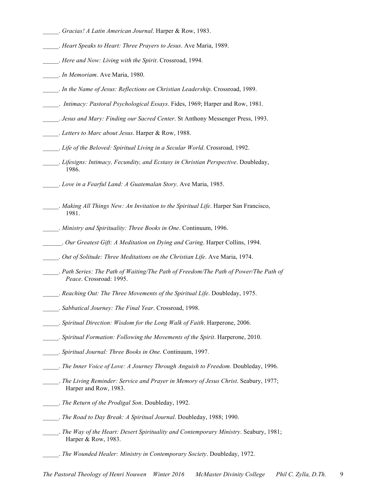- \_\_\_\_\_. *Gracias! A Latin American Journal*. Harper & Row, 1983.
- \_\_\_\_\_. *Heart Speaks to Heart: Three Prayers to Jesus*. Ave Maria, 1989.
- \_\_\_\_\_. *Here and Now: Living with the Spirit*. Crossroad, 1994.
- \_\_\_\_\_. *In Memoriam*. Ave Maria, 1980.
- \_\_\_\_\_. *In the Name of Jesus: Reflections on Christian Leadership*. Crossroad, 1989.
- \_\_\_\_\_. *Intimacy: Pastoral Psychological Essays*. Fides, 1969; Harper and Row, 1981.
- \_\_\_\_\_. *Jesus and Mary: Finding our Sacred Center*. St Anthony Messenger Press, 1993.
- \_\_\_\_\_. *Letters to Marc about Jesus*. Harper & Row, 1988.
- \_\_\_\_\_. *Life of the Beloved: Spiritual Living in a Secular World*. Crossroad, 1992.
- \_\_\_\_\_. *Lifesigns: Intimacy, Fecundity, and Ecstasy in Christian Perspective*. Doubleday, 1986.
- \_\_\_\_\_. *Love in a Fearful Land: A Guatemalan Story*. Ave Maria, 1985.
	- \_\_\_\_\_. *Making All Things New: An Invitation to the Spiritual Life*. Harper San Francisco, 1981.
- \_\_\_\_\_. *Ministry and Spirituality: Three Books in One*. Continuum, 1996.
- \_\_\_\_\_\_. *Our Greatest Gift: A Meditation on Dying and Caring*. Harper Collins, 1994.
- \_\_\_\_\_. *Out of Solitude: Three Meditations on the Christian Life*. Ave Maria, 1974.
- \_\_\_\_\_. *Path Series: The Path of Waiting/The Path of Freedom/The Path of Power/The Path of Peace*. Crossroad: 1995.
- \_\_\_\_\_. *Reaching Out: The Three Movements of the Spiritual Life*. Doubleday, 1975.
- \_\_\_\_\_. *Sabbatical Journey: The Final Year*. Crossroad, 1998.
- \_\_\_\_\_. *Spiritual Direction: Wisdom for the Long Walk of Faith*. Harperone, 2006.
- \_\_\_\_\_. *Spiritual Formation: Following the Movements of the Spirit*. Harperone, 2010.
- \_\_\_\_\_. *Spiritual Journal: Three Books in One*. Continuum, 1997.
- \_\_\_\_\_. *The Inner Voice of Love: A Journey Through Anguish to Freedom.* Doubleday, 1996.
- \_\_\_\_\_. *The Living Reminder: Service and Prayer in Memory of Jesus Christ*. Seabury, 1977; Harper and Row, 1983.
- \_\_\_\_\_. *The Return of the Prodigal Son*. Doubleday, 1992.
- \_\_\_\_\_. *The Road to Day Break: A Spiritual Journal*. Doubleday, 1988; 1990.
- \_\_\_\_\_. *The Way of the Heart: Desert Spirituality and Contemporary Ministry*. Seabury, 1981; Harper & Row, 1983.
- \_\_\_\_\_. *The Wounded Healer: Ministry in Contemporary Society*. Doubleday, 1972.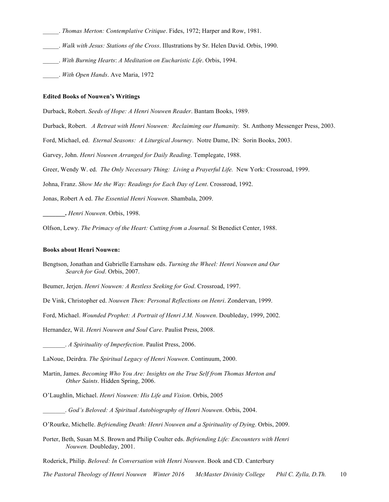- \_\_\_\_\_. *Thomas Merton: Contemplative Critique*. Fides, 1972; Harper and Row, 1981.
- \_\_\_\_\_. *Walk with Jesus: Stations of the Cross*. Illustrations by Sr. Helen David. Orbis, 1990.
- \_\_\_\_\_. *With Burning Hearts*: *A Meditation on Eucharistic Life*. Orbis, 1994.
- \_\_\_\_\_. *With Open Hands*. Ave Maria, 1972

#### **Edited Books of Nouwen's Writings**

Durback, Robert. *Seeds of Hope: A Henri Nouwen Reader*. Bantam Books, 1989.

Durback, Robert. *A Retreat with Henri Nouwen: Reclaiming our Humanity.* St. Anthony Messenger Press, 2003.

Ford, Michael, ed. *Eternal Seasons: A Liturgical Journey*. Notre Dame, IN: Sorin Books, 2003.

Garvey, John. *Henri Nouwen Arranged for Daily Reading*. Templegate, 1988.

Greer, Wendy W. ed. *The Only Necessary Thing: Living a Prayerful Life.* New York: Crossroad, 1999.

Johna, Franz. *Show Me the Way: Readings for Each Day of Lent*. Crossroad, 1992.

Jonas, Robert A ed. *The Essential Henri Nouwen*. Shambala, 2009.

**\_\_\_\_\_\_\_.** *Henri Nouwen*. Orbis, 1998.

Olfson, Lewy. *The Primacy of the Heart: Cutting from a Journal.* St Benedict Center, 1988.

#### **Books about Henri Nouwen:**

Bengtson, Jonathan and Gabrielle Earnshaw eds. *Turning the Wheel: Henri Nouwen and Our Search for God*. Orbis, 2007.

Beumer, Jerjen. *Henri Nouwen: A Restless Seeking for God*. Crossroad, 1997.

De Vink, Christopher ed. *Nouwen Then: Personal Reflections on Henri*. Zondervan, 1999.

Ford, Michael. *Wounded Prophet: A Portrait of Henri J.M. Nouwen*. Doubleday, 1999, 2002.

Hernandez, Wil. *Henri Nouwen and Soul Care*. Paulist Press, 2008.

\_\_\_\_\_\_\_. *A Spirituality of Imperfection*. Paulist Press, 2006.

LaNoue, Deirdra. *The Spiritual Legacy of Henri Nouwen*. Continuum, 2000.

- Martin, James. *Becoming Who You Are: Insights on the True Self from Thomas Merton and Other Saints*. Hidden Spring, 2006.
- O'Laughlin, Michael. *Henri Nouwen: His Life and Vision*. Orbis, 2005
- \_\_\_\_\_\_\_. *God's Beloved: A Spiritual Autobiography of Henri Nouwen*. Orbis, 2004.
- O'Rourke, Michelle. *Befriending Death: Henri Nouwen and a Spirituality of Dying*. Orbis, 2009.
- Porter, Beth, Susan M.S. Brown and Philip Coulter eds. *Befriending Life: Encounters with Henri Nouwen.* Doubleday, 2001.

Roderick, Philip. *Beloved: In Conversation with Henri Nouwen*. Book and CD. Canterbury